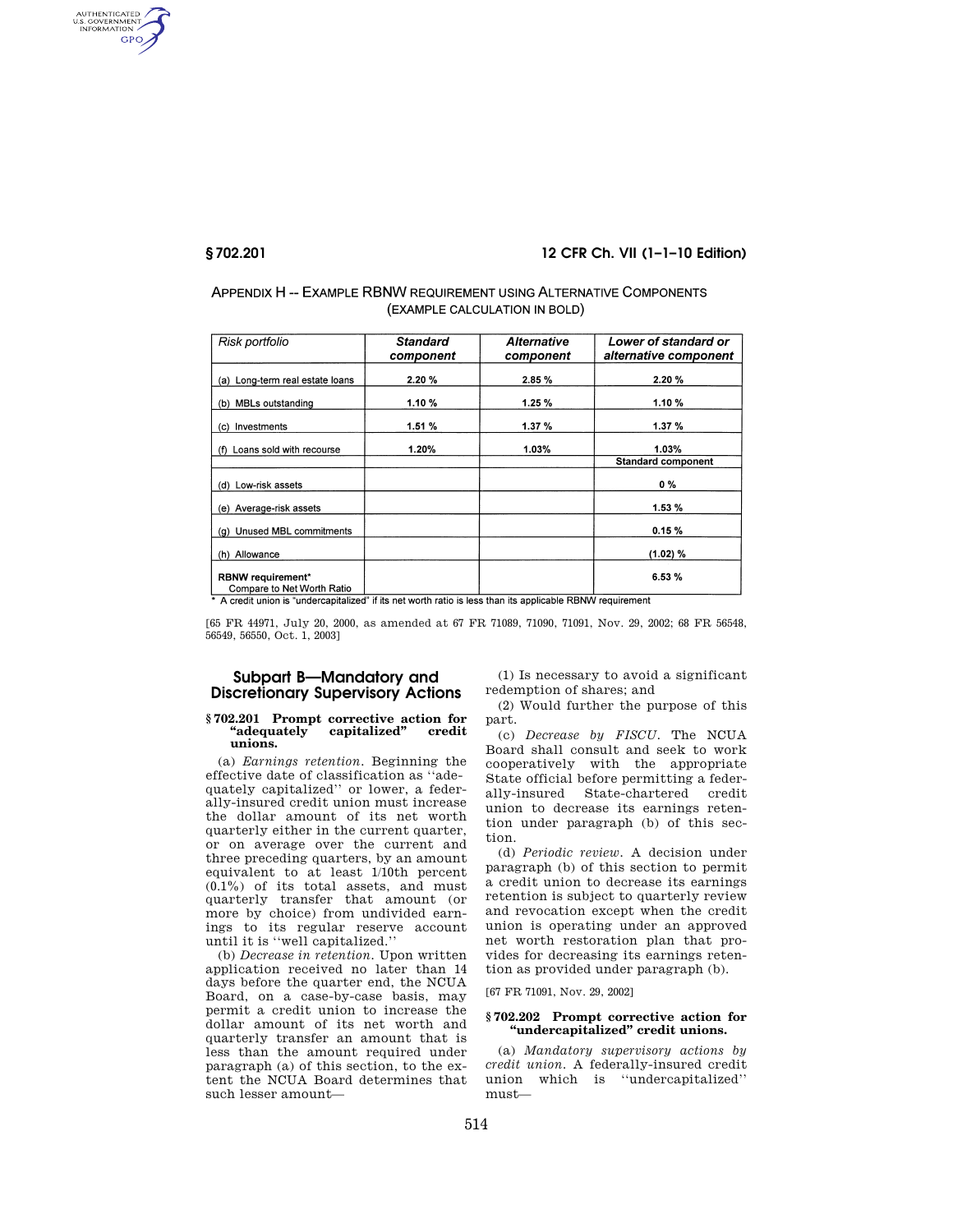AUTHENTICATED<br>U.S. GOVERNMENT<br>INFORMATION GPO

## **§ 702.201 12 CFR Ch. VII (1–1–10 Edition)**

# APPENDIX H-- EXAMPLE RBNW REQUIREMENT USING ALTERNATIVE COMPONENTS (EXAMPLE CALCULATION IN BOLD)

| Risk portfolio                                         | <b>Standard</b><br>component | <b>Alternative</b><br>component | Lower of standard or<br>alternative component |
|--------------------------------------------------------|------------------------------|---------------------------------|-----------------------------------------------|
| (a) Long-term real estate loans                        | 2.20%                        | 2.85%                           | 2.20%                                         |
| (b) MBLs outstanding                                   | 1.10%                        | 1.25%                           | 1.10%                                         |
| (c) Investments                                        | 1.51%                        | 1.37%                           | 1.37 %                                        |
| (f) Loans sold with recourse                           | 1.20%                        | 1.03%                           | 1.03%                                         |
|                                                        |                              |                                 | <b>Standard component</b>                     |
| (d) Low-risk assets                                    |                              |                                 | 0%                                            |
| (e) Average-risk assets                                |                              |                                 | 1.53%                                         |
| (g) Unused MBL commitments                             |                              |                                 | 0.15%                                         |
| (h) Allowance                                          |                              |                                 | (1.02) %                                      |
| <b>RBNW</b> requirement*<br>Compare to Net Worth Ratio |                              |                                 | 6.53%                                         |

\* A credit union is "undercapitalized" if its net worth ratio is less than its applicable RBNW requirement

[65 FR 44971, July 20, 2000, as amended at 67 FR 71089, 71090, 71091, Nov. 29, 2002; 68 FR 56548, 56549, 56550, Oct. 1, 2003]

# **Subpart B—Mandatory and Discretionary Supervisory Actions**

# **§ 702.201 Prompt corrective action for ''adequately capitalized'' credit unions.**

(a) *Earnings retention.* Beginning the effective date of classification as ''adequately capitalized'' or lower, a federally-insured credit union must increase the dollar amount of its net worth quarterly either in the current quarter, or on average over the current and three preceding quarters, by an amount equivalent to at least 1/10th percent  $(0.1\%)$  of its total assets, and must quarterly transfer that amount (or more by choice) from undivided earnings to its regular reserve account until it is ''well capitalized.''

(b) *Decrease in retention.* Upon written application received no later than 14 days before the quarter end, the NCUA Board, on a case-by-case basis, may permit a credit union to increase the dollar amount of its net worth and quarterly transfer an amount that is less than the amount required under paragraph (a) of this section, to the extent the NCUA Board determines that such lesser amount—

(1) Is necessary to avoid a significant redemption of shares; and

(2) Would further the purpose of this part.

(c) *Decrease by FISCU.* The NCUA Board shall consult and seek to work cooperatively with the appropriate State official before permitting a federally-insured State-chartered credit union to decrease its earnings retention under paragraph (b) of this section.

(d) *Periodic review.* A decision under paragraph (b) of this section to permit a credit union to decrease its earnings retention is subject to quarterly review and revocation except when the credit union is operating under an approved net worth restoration plan that provides for decreasing its earnings retention as provided under paragraph (b).

[67 FR 71091, Nov. 29, 2002]

## **§ 702.202 Prompt corrective action for ''undercapitalized'' credit unions.**

(a) *Mandatory supervisory actions by credit union.* A federally-insured credit union which is ''undercapitalized'' must—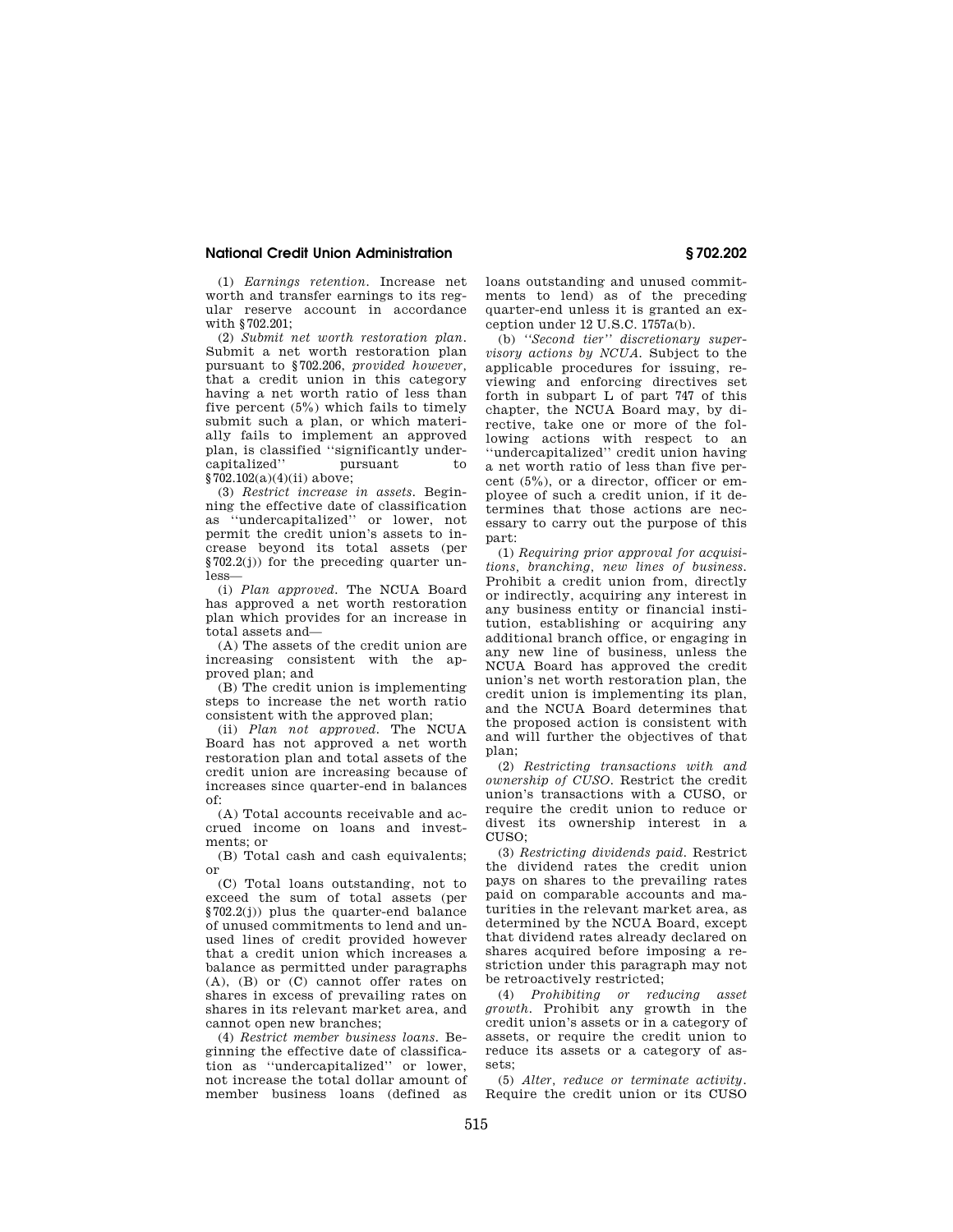## **National Credit Union Administration § 702.202**

(1) *Earnings retention.* Increase net worth and transfer earnings to its regular reserve account in accordance with §702.201;

(2) *Submit net worth restoration plan.*  Submit a net worth restoration plan pursuant to §702.206, *provided however,*  that a credit union in this category having a net worth ratio of less than five percent (5%) which fails to timely submit such a plan, or which materially fails to implement an approved plan, is classified ''significantly undercapitalized'' pursuant to  $\sqrt{62.102(a)(4)(i)}$  above:

(3) *Restrict increase in assets.* Beginning the effective date of classification as ''undercapitalized'' or lower, not permit the credit union's assets to increase beyond its total assets (per §702.2(j)) for the preceding quarter unless—

(i) *Plan approved.* The NCUA Board has approved a net worth restoration plan which provides for an increase in total assets and—

(A) The assets of the credit union are increasing consistent with the approved plan; and

(B) The credit union is implementing steps to increase the net worth ratio consistent with the approved plan;

(ii) *Plan not approved.* The NCUA Board has not approved a net worth restoration plan and total assets of the credit union are increasing because of increases since quarter-end in balances of:

(A) Total accounts receivable and accrued income on loans and investments; or

(B) Total cash and cash equivalents; or

(C) Total loans outstanding, not to exceed the sum of total assets (per §702.2(j)) plus the quarter-end balance of unused commitments to lend and unused lines of credit provided however that a credit union which increases a balance as permitted under paragraphs (A), (B) or (C) cannot offer rates on shares in excess of prevailing rates on shares in its relevant market area, and cannot open new branches;

(4) *Restrict member business loans.* Beginning the effective date of classification as ''undercapitalized'' or lower, not increase the total dollar amount of member business loans (defined as loans outstanding and unused commitments to lend) as of the preceding quarter-end unless it is granted an exception under 12 U.S.C. 1757a(b).

(b) *''Second tier'' discretionary supervisory actions by NCUA.* Subject to the applicable procedures for issuing, reviewing and enforcing directives set forth in subpart L of part 747 of this chapter, the NCUA Board may, by directive, take one or more of the following actions with respect to an ''undercapitalized'' credit union having a net worth ratio of less than five percent  $(5\%)$ , or a director, officer or employee of such a credit union, if it determines that those actions are necessary to carry out the purpose of this part:

(1) *Requiring prior approval for acquisitions, branching, new lines of business.*  Prohibit a credit union from, directly or indirectly, acquiring any interest in any business entity or financial institution, establishing or acquiring any additional branch office, or engaging in any new line of business, unless the NCUA Board has approved the credit union's net worth restoration plan, the credit union is implementing its plan, and the NCUA Board determines that the proposed action is consistent with and will further the objectives of that plan;

(2) *Restricting transactions with and ownership of CUSO.* Restrict the credit union's transactions with a CUSO, or require the credit union to reduce or divest its ownership interest in a  $CUTSO$ 

(3) *Restricting dividends paid.* Restrict the dividend rates the credit union pays on shares to the prevailing rates paid on comparable accounts and maturities in the relevant market area, as determined by the NCUA Board, except that dividend rates already declared on shares acquired before imposing a restriction under this paragraph may not be retroactively restricted;

(4) *Prohibiting or reducing asset growth.* Prohibit any growth in the credit union's assets or in a category of assets, or require the credit union to reduce its assets or a category of assets;

(5) *Alter, reduce or terminate activity.*  Require the credit union or its CUSO